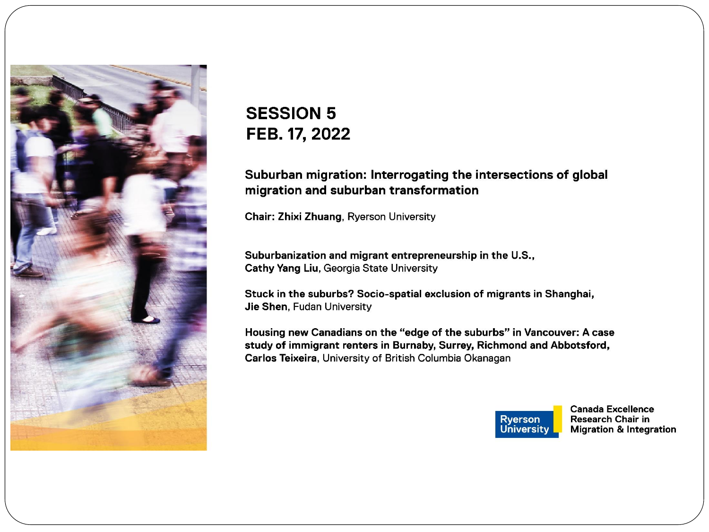

#### **SESSION 5** FEB. 17, 2022

#### Suburban migration: Interrogating the intersections of global migration and suburban transformation

Chair: Zhixi Zhuang, Ryerson University

Suburbanization and migrant entrepreneurship in the U.S., Cathy Yang Liu, Georgia State University

Stuck in the suburbs? Socio-spatial exclusion of migrants in Shanghai, Jie Shen, Fudan University

Housing new Canadians on the "edge of the suburbs" in Vancouver: A case study of immigrant renters in Burnaby, Surrey, Richmond and Abbotsford, Carlos Teixeira, University of British Columbia Okanagan



**Canada Excellence Research Chair in Migration & Integration**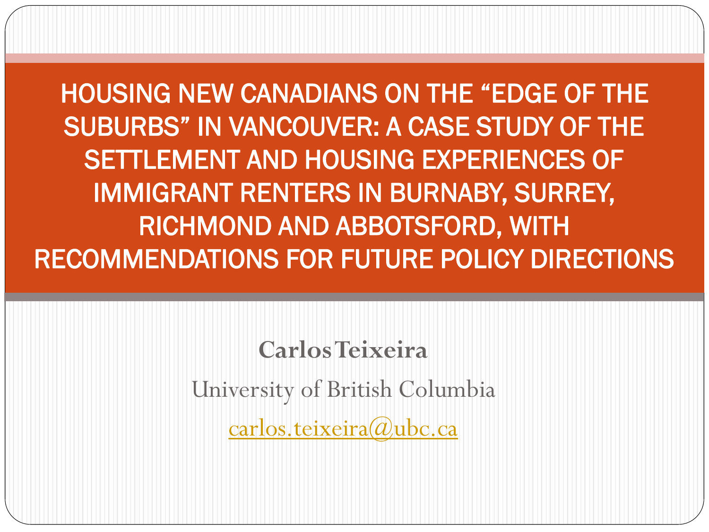HOUSING NEW CANADIANS ON THE "EDGE OF THE SUBURBS" IN VANCOUVER: A CASE STUDY OF THE SETTLEMENT AND HOUSING EXPERIENCES OF IMMIGRANT RENTERS IN BURNABY, SURREY, RICHMOND AND ABBOTSFORD, WITH RECOMMENDATIONS FOR FUTURE POLICY DIRECTIONS

> **Carlos Teixeira** University of British Columbia [carlos.teixeira@ubc.ca](mailto:carlos.teixeira@ubc.ca)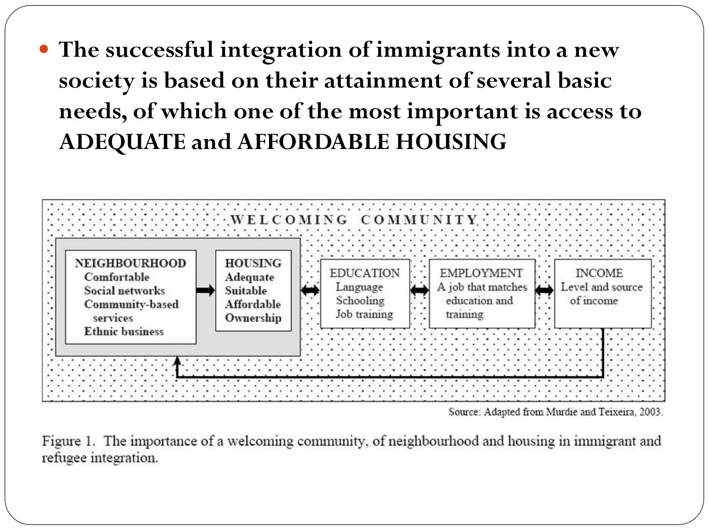**The successful integration of immigrants into a new society is based on their attainment of several basic needs, of which one of the most important is access to ADEQUATE and AFFORDABLE HOUSING**



Source: Adapted from Murdie and Teixeira, 2003.

Figure 1. The importance of a welcoming community, of neighbourhood and housing in immigrant and refugee integration.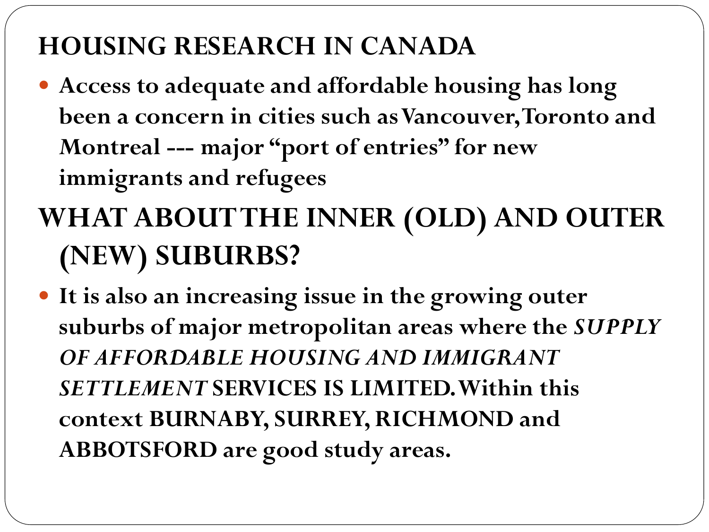#### **HOUSING RESEARCH IN CANADA**

- **Access to adequate and affordable housing has long been a concern in cities such as Vancouver, Toronto and Montreal --- major "port of entries" for new immigrants and refugees**
- **WHAT ABOUT THE INNER (OLD) AND OUTER (NEW) SUBURBS?**
- **It is also an increasing issue in the growing outer suburbs of major metropolitan areas where the** *SUPPLY OF AFFORDABLE HOUSING AND IMMIGRANT SETTLEMENT* **SERVICES IS LIMITED. Within this context BURNABY, SURREY, RICHMOND and ABBOTSFORD are good study areas.**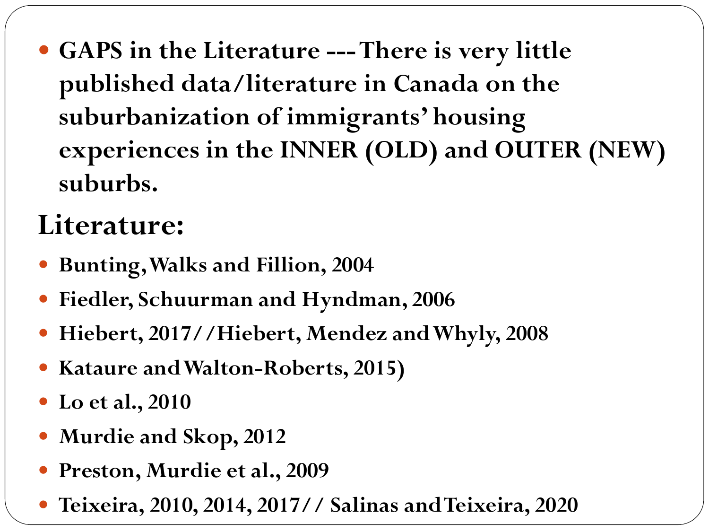**GAPS in the Literature ---There is very little published data/literature in Canada on the suburbanization of immigrants' housing experiences in the INNER (OLD) and OUTER (NEW) suburbs.** 

#### **Literature:**

- **Bunting, Walks and Fillion, 2004**
- **Fiedler, Schuurman and Hyndman, 2006**
- **Hiebert, 2017//Hiebert, Mendez and Whyly, 2008**
- **Kataure and Walton-Roberts, 2015)**
- **Lo et al., 2010**
- **Murdie and Skop, 2012**
- **Preston, Murdie et al., 2009**
- **Teixeira, 2010, 2014, 2017// Salinas and Teixeira, 2020**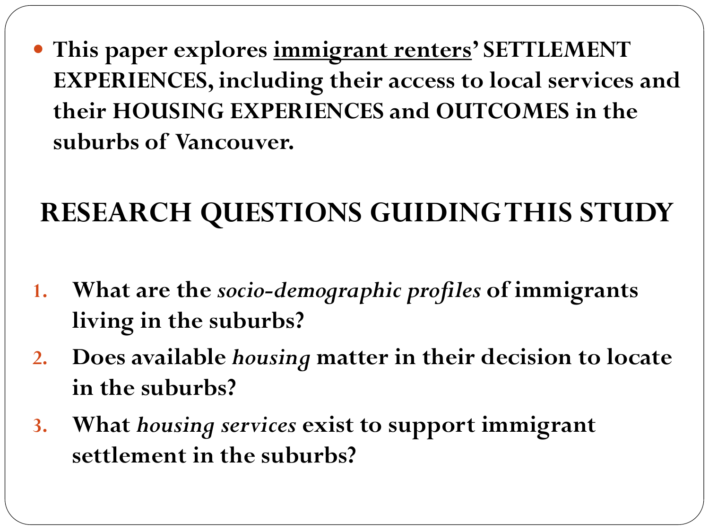**This paper explores immigrant renters' SETTLEMENT EXPERIENCES, including their access to local services and their HOUSING EXPERIENCES and OUTCOMES in the suburbs of Vancouver.**

## **RESEARCH QUESTIONS GUIDING THIS STUDY**

- **1. What are the** *socio-demographic profiles* **of immigrants living in the suburbs?**
- **2. Does available** *housing* **matter in their decision to locate in the suburbs?**
- **3. What** *housing services* **exist to support immigrant settlement in the suburbs?**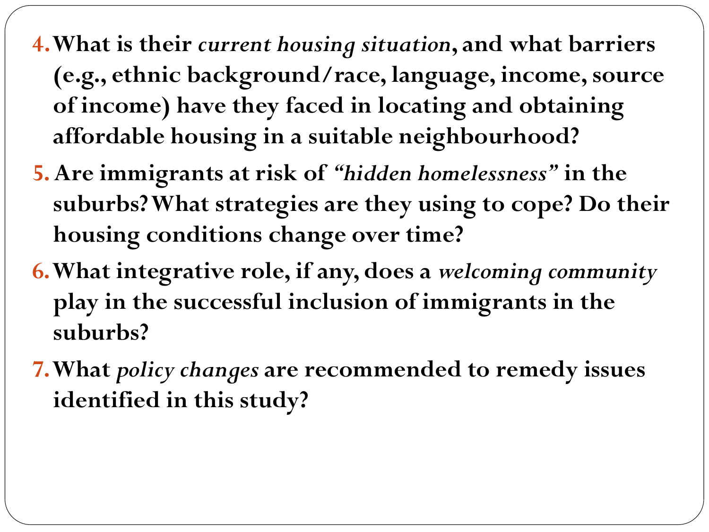- **4. What is their** *current housing situation***, and what barriers (e.g., ethnic background/race, language, income, source of income) have they faced in locating and obtaining affordable housing in a suitable neighbourhood?**
- **5. Are immigrants at risk of** *"hidden homelessness"* **in the suburbs? What strategies are they using to cope? Do their housing conditions change over time?**
- **6. What integrative role, if any, does a** *welcoming community* **play in the successful inclusion of immigrants in the suburbs?**
- **7. What** *policy changes* **are recommended to remedy issues identified in this study?**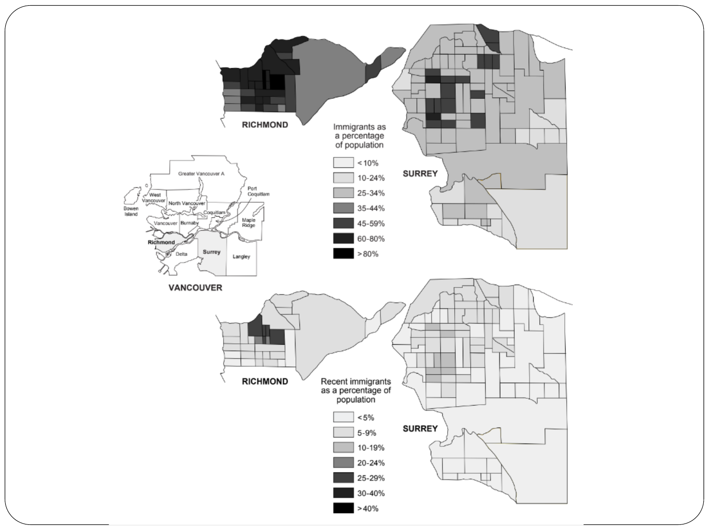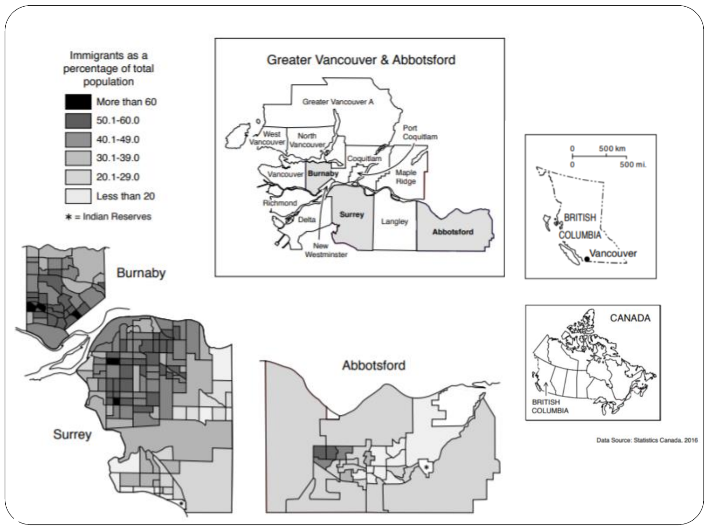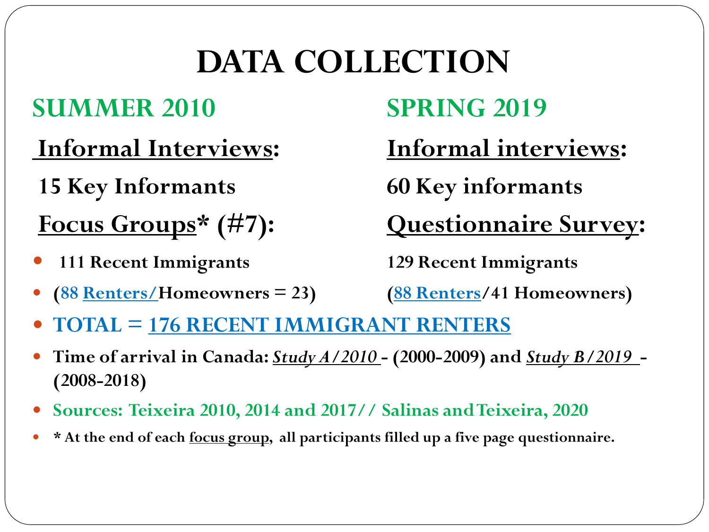# **DATA COLLECTION**

#### **SUMMER 2010 SPRING 2019**

- **Informal Interviews: Informal interviews:**
- **15 Key Informants 60 Key informants**
- **111 Recent Immigrants 129 Recent Immigrants**
- **(88 Renters/Homeowners = 23) (88 Renters/41 Homeowners)**

**Focus Groups\* (#7): Questionnaire Survey:**

- **TOTAL = 176 RECENT IMMIGRANT RENTERS**
- **Time of arrival in Canada:** *Study A/2010* **- (2000-2009) and** *Study B/2019* **- (2008-2018)**
- **Sources: Teixeira 2010, 2014 and 2017// Salinas and Teixeira, 2020**
- **\* At the end of each focus group, all participants filled up a five page questionnaire.**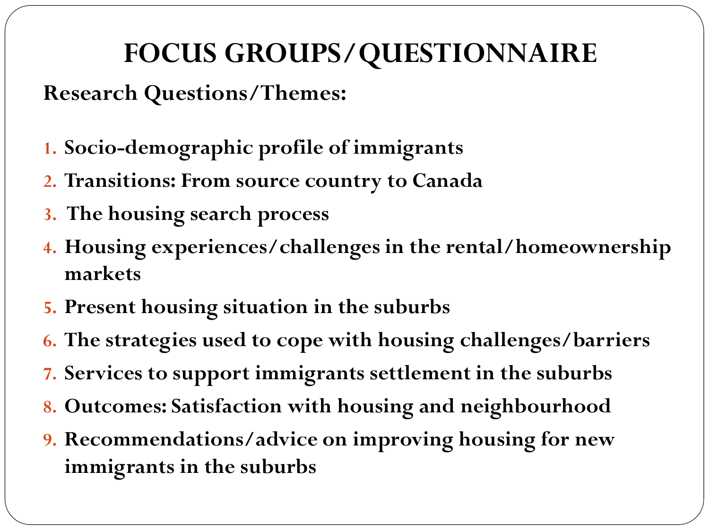## **FOCUS GROUPS/QUESTIONNAIRE**

**Research Questions/Themes:**

- **1. Socio-demographic profile of immigrants**
- **2. Transitions: From source country to Canada**
- **3. The housing search process**
- **4. Housing experiences/challenges in the rental/homeownership markets**
- **5. Present housing situation in the suburbs**
- **6. The strategies used to cope with housing challenges/barriers**
- **7. Services to support immigrants settlement in the suburbs**
- **8. Outcomes: Satisfaction with housing and neighbourhood**
- **9. Recommendations/advice on improving housing for new immigrants in the suburbs**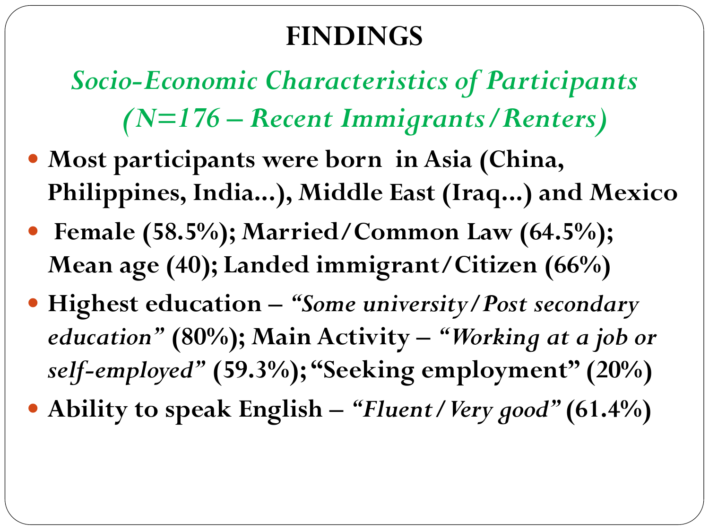#### **FINDINGS**

*Socio-Economic Characteristics of Participants (N=176 – Recent Immigrants/Renters)*

- **Most participants were born in Asia (China, Philippines, India...), Middle East (Iraq...) and Mexico**
- **Female (58.5%); Married/Common Law (64.5%); Mean age (40); Landed immigrant/Citizen (66%)**
- **Highest education –** *"Some university/Post secondary education"* **(80%); Main Activity –** *"Working at a job or self-employed"* **(59.3%); "Seeking employment" (20%)**
- **Ability to speak English –** *"Fluent/Very good"* **(61.4%)**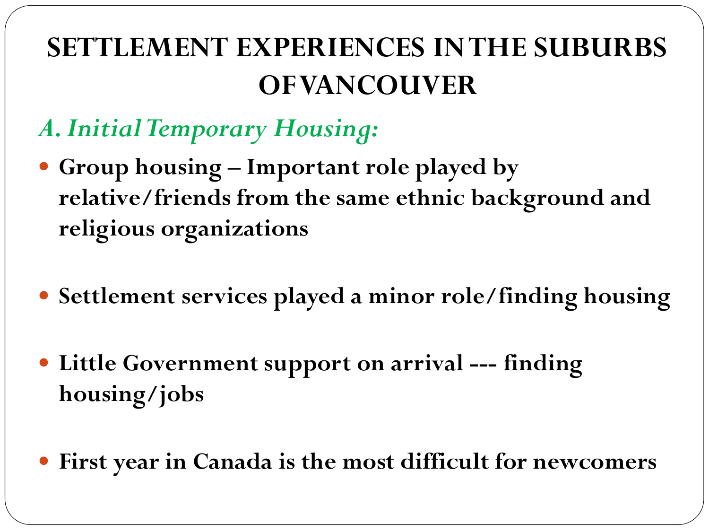## **SETTLEMENT EXPERIENCES IN THE SUBURBS OF VANCOUVER**

- *A. Initial Temporary Housing:*
- **Group housing – Important role played by relative/friends from the same ethnic background and religious organizations**
- **Settlement services played a minor role/finding housing**
- **Little Government support on arrival --- finding housing/jobs**
- **First year in Canada is the most difficult for newcomers**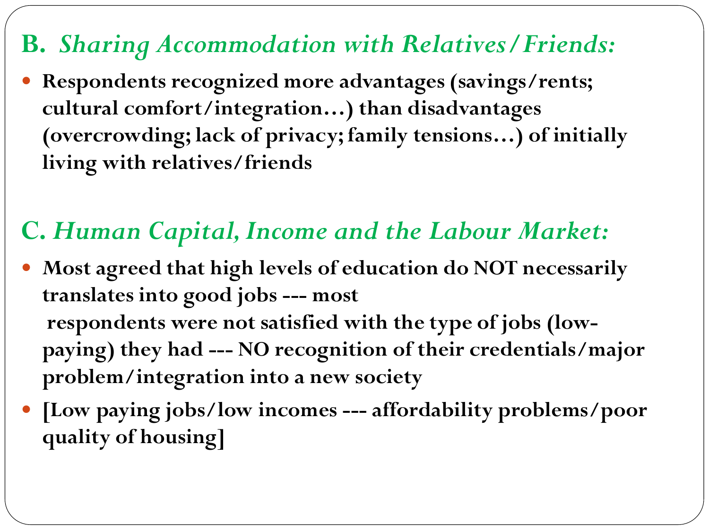#### **B.** *Sharing Accommodation with Relatives/Friends:*

 **Respondents recognized more advantages (savings/rents; cultural comfort/integration…) than disadvantages (overcrowding; lack of privacy; family tensions…) of initially living with relatives/friends**

#### **C.** *Human Capital, Income and the Labour Market:*

- **Most agreed that high levels of education do NOT necessarily translates into good jobs --- most respondents were not satisfied with the type of jobs (lowpaying) they had --- NO recognition of their credentials/major problem/integration into a new society**
- **[Low paying jobs/low incomes --- affordability problems/poor quality of housing]**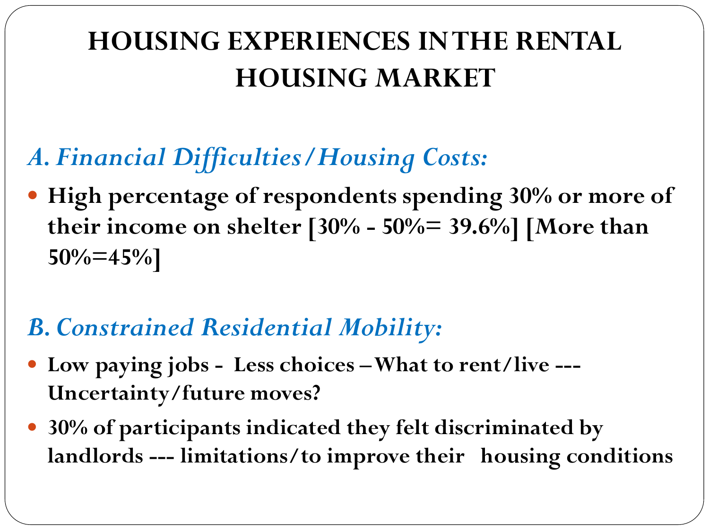## **HOUSING EXPERIENCES IN THE RENTAL HOUSING MARKET**

#### *A.Financial Difficulties/Housing Costs:*

 **High percentage of respondents spending 30% or more of their income on shelter [30% - 50%= 39.6%] [More than 50%=45%]** 

#### *B. Constrained Residential Mobility:*

- **Low paying jobs - Less choices –What to rent/live --- Uncertainty/future moves?**
- **30% of participants indicated they felt discriminated by landlords --- limitations/to improve their housing conditions**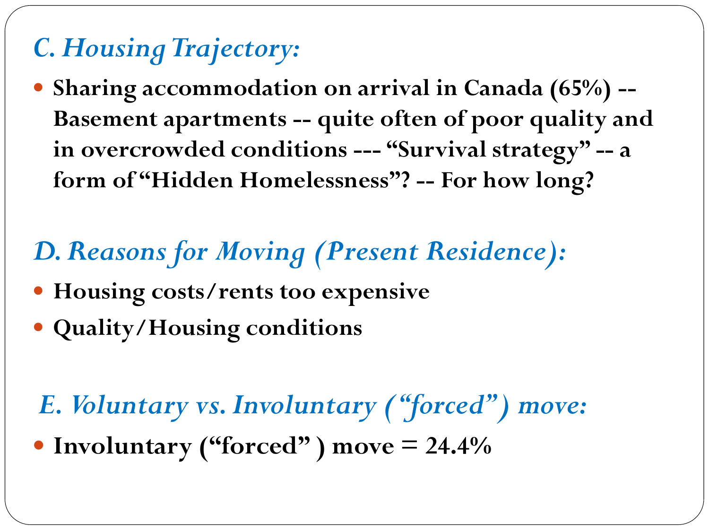## *C. Housing Trajectory:*

 **Sharing accommodation on arrival in Canada (65%) -- Basement apartments -- quite often of poor quality and in overcrowded conditions --- "Survival strategy" -- a form of "Hidden Homelessness"? -- For how long?**

#### *D. Reasons for Moving (Present Residence):*

- **Housing costs/rents too expensive**
- **Quality/Housing conditions**
- *E. Voluntary vs. Involuntary ("forced") move:*
- **Involuntary ("forced" ) move = 24.4%**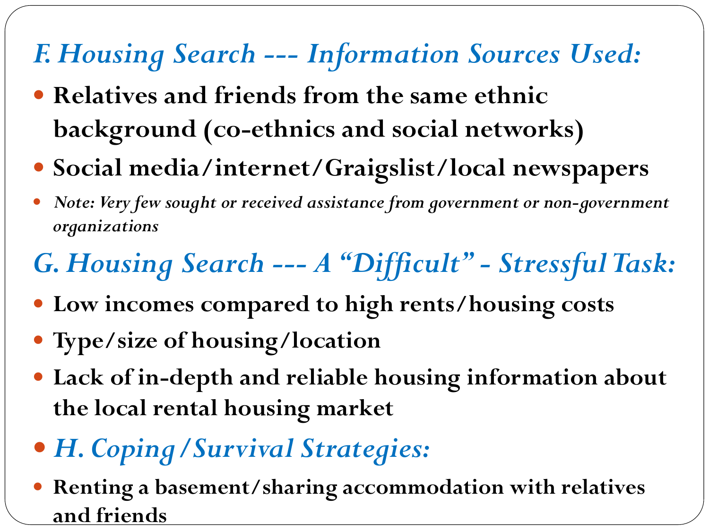## *F. Housing Search --- Information Sources Used:*

- **Relatives and friends from the same ethnic background (co-ethnics and social networks)**
- **Social media/internet/Graigslist/local newspapers**
- *Note: Very few sought or received assistance from government or non-government organizations*

# *G. Housing Search --- A "Difficult" - Stressful Task:*

- **Low incomes compared to high rents/housing costs**
- **Type/size of housing/location**
- **Lack of in-depth and reliable housing information about the local rental housing market**
- *H. Coping/Survival Strategies:*
- **Renting a basement/sharing accommodation with relatives and friends**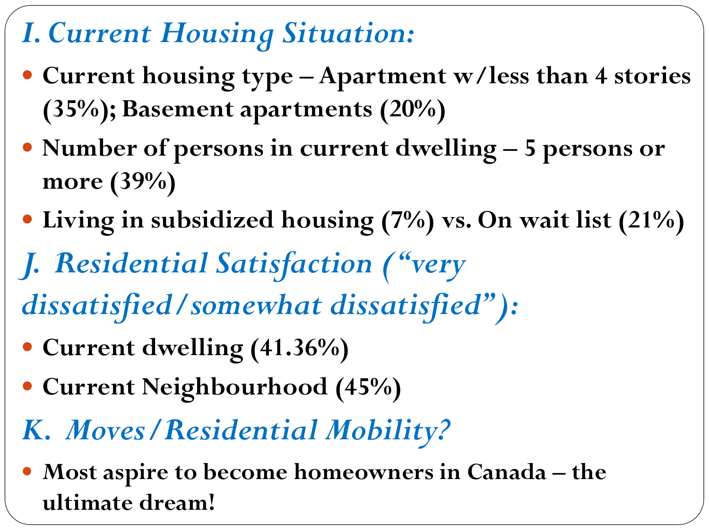## *I. Current Housing Situation:*

- **Current housing type – Apartment w/less than 4 stories (35%); Basement apartments (20%)**
- **Number of persons in current dwelling – 5 persons or more (39%)**
- **Living in subsidized housing (7%) vs. On wait list (21%)**
- *J. Residential Satisfaction ("very*
- *dissatisfied/somewhat dissatisfied"):*
- **Current dwelling (41.36%)**
- **Current Neighbourhood (45%)**
- *K. Moves/Residential Mobility?*
- **Most aspire to become homeowners in Canada – the ultimate dream!**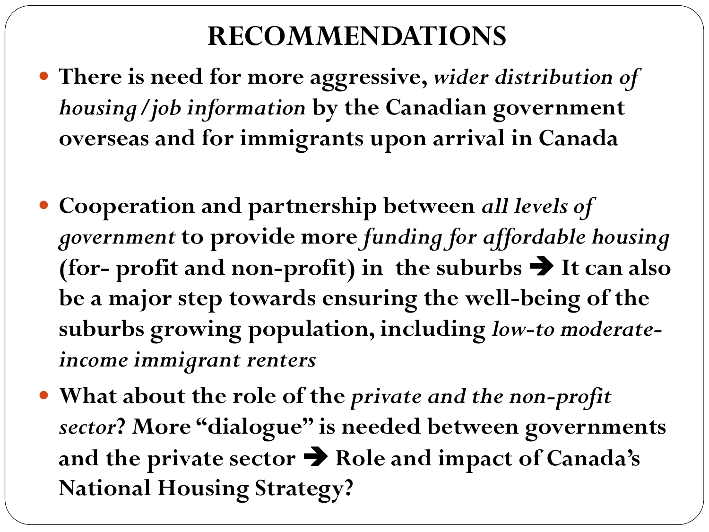#### **RECOMMENDATIONS**

- **There is need for more aggressive,** *wider distribution of housing/job information* **by the Canadian government overseas and for immigrants upon arrival in Canada**
- **Cooperation and partnership between** *all levels of government* **to provide more** *funding for affordable housing*  **(for-** profit and non-profit) in the suburbs  $\rightarrow$  It can also **be a major step towards ensuring the well-being of the suburbs growing population, including** *low-to moderateincome immigrant renters*
- **What about the role of the** *private and the non-profit sector***? More "dialogue" is needed between governments and the private sector** ➔ **Role and impact of Canada's National Housing Strategy?**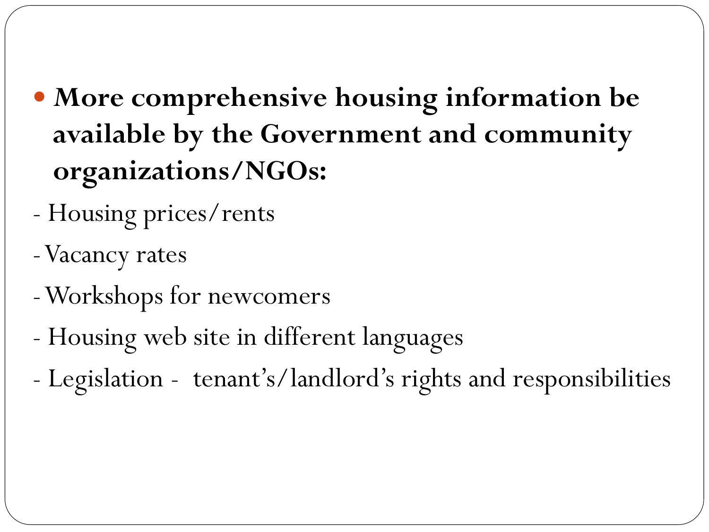- **More comprehensive housing information be available by the Government and community organizations/NGOs:**
- Housing prices/rents
- -Vacancy rates
- -Workshops for newcomers
- Housing web site in different languages
- Legislation tenant's/landlord's rights and responsibilities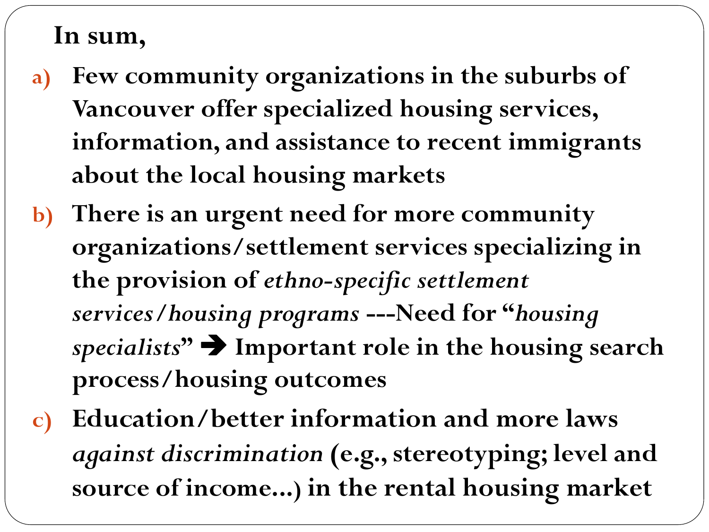#### **In sum,**

- **a) Few community organizations in the suburbs of Vancouver offer specialized housing services, information, and assistance to recent immigrants about the local housing markets**
- **b) There is an urgent need for more community organizations/settlement services specializing in the provision of** *ethno-specific settlement services/housing programs* **---Need for "***housing specialists***"** ➔ **Important role in the housing search process/housing outcomes**
- **c) Education/better information and more laws**  *against discrimination* **(e.g., stereotyping; level and source of income...) in the rental housing market**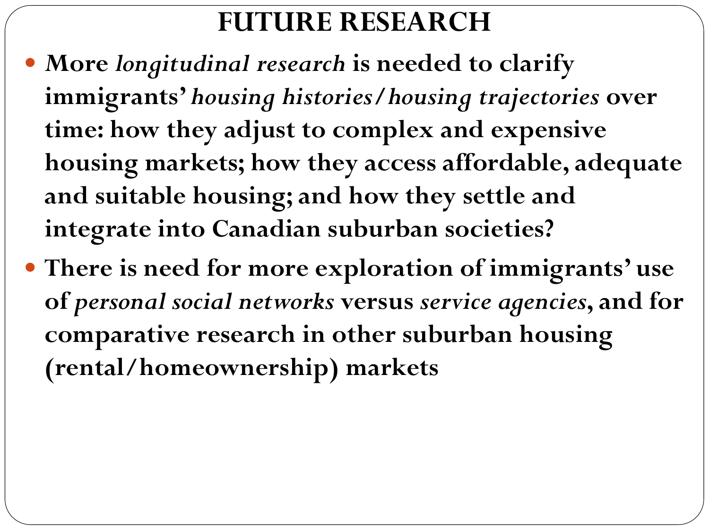#### **FUTURE RESEARCH**

- **More** *longitudinal research* **is needed to clarify immigrants'** *housing histories***/***housing trajectories* **over time: how they adjust to complex and expensive housing markets; how they access affordable, adequate and suitable housing; and how they settle and integrate into Canadian suburban societies?**
- **There is need for more exploration of immigrants' use of** *personal social networks* **versus** *service agencies***, and for comparative research in other suburban housing (rental/homeownership) markets**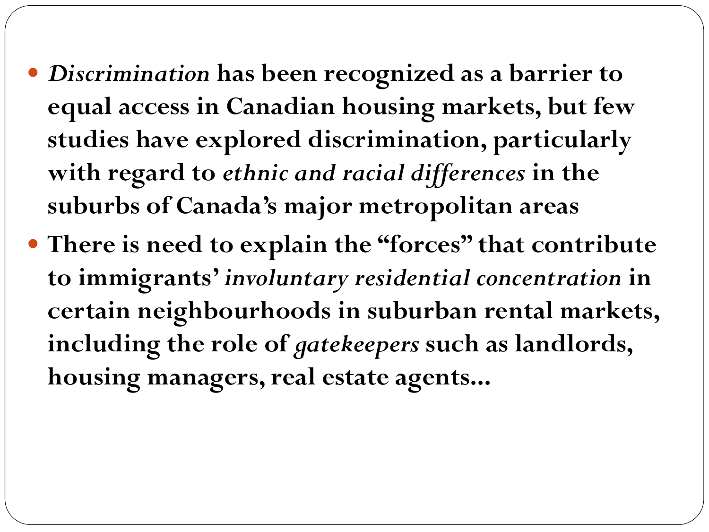- *Discrimination* **has been recognized as a barrier to equal access in Canadian housing markets, but few studies have explored discrimination, particularly with regard to** *ethnic and racial differences* **in the suburbs of Canada's major metropolitan areas**
- **There is need to explain the "forces" that contribute to immigrants'** *involuntary residential concentration* **in certain neighbourhoods in suburban rental markets, including the role of** *gatekeepers* **such as landlords, housing managers, real estate agents...**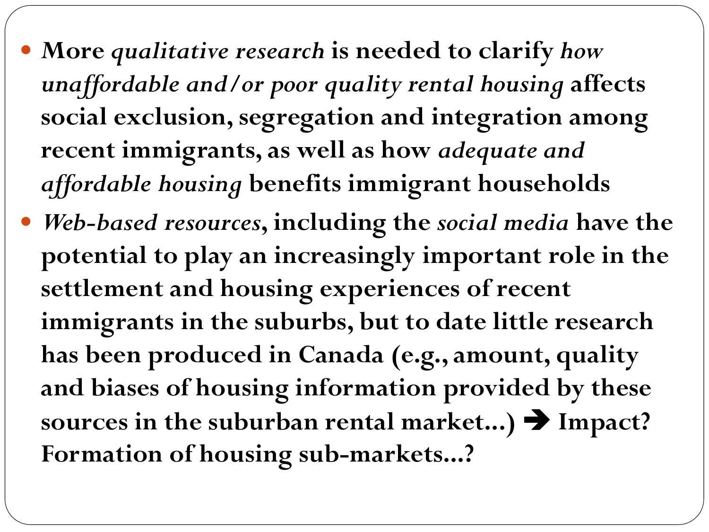**More** *qualitative research* **is needed to clarify** *how unaffordable and/or poor quality rental housing* **affects social exclusion, segregation and integration among recent immigrants, as well as how** *adequate and affordable housing* **benefits immigrant households** *Web-based resources***, including the** *social media* **have the potential to play an increasingly important role in the settlement and housing experiences of recent immigrants in the suburbs, but to date little research has been produced in Canada (e.g., amount, quality and biases of housing information provided by these sources in the suburban rental market...)** ➔ **Impact? Formation of housing sub-markets...?**